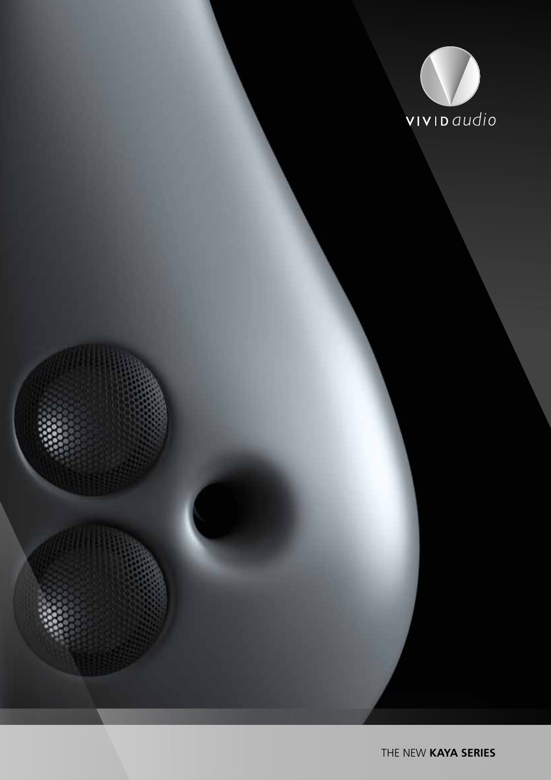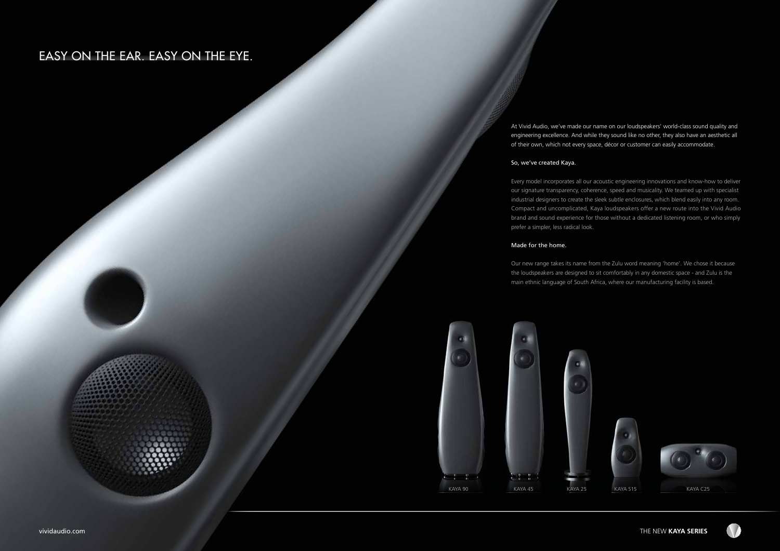vividaudio.com

# EASY ON THE EAR. EASY ON THE EYE.





At Vivid Audio, we've made our name on our loudspeakers' world-class sound quality and engineering excellence. And while they sound like no other, they also have an aesthetic all of their own, which not every space, décor or customer can easily accommodate.

### So, we've created Kaya.

Every model incorporates all our acoustic engineering innovations and know-how to deliver our signature transparency, coherence, speed and musicality. We teamed up with specialist industrial designers to create the sleek subtle enclosures, which blend easily into any room. Compact and uncomplicated, Kaya loudspeakers offer a new route into the Vivid Audio brand and sound experience for those without a dedicated listening room, or who simply prefer a simpler, less radical look.

### Made for the home.

Our new range takes its name from the Zulu word meaning 'home'. We chose it because the loudspeakers are designed to sit comfortably in any domestic space - and Zulu is the main ethnic language of South Africa, where our manufacturing facility is based.





THE NEW **KAYA SERIES**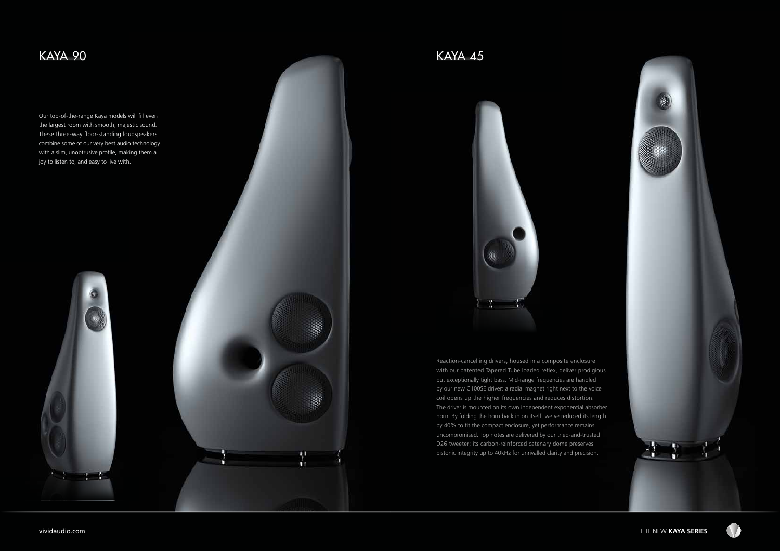## vividaudio.com THE NEW **KAYA SERIES**



## KAYA 90 KAYA 45

Our top-of-the-range Kaya models will fill even the largest room with smooth, majestic sound. These three-way floor-standing loudspeakers combine some of our very best audio technology with a slim, unobtrusive profile, making them a joy to listen to, and easy to live with.







Reaction-cancelling drivers, housed in a composite enclosure with our patented Tapered Tube loaded reflex, deliver prodigious but exceptionally tight bass. Mid-range frequencies are handled by our new C100SE driver: a radial magnet right next to the voice coil opens up the higher frequencies and reduces distortion. The driver is mounted on its own independent exponential absorber horn. By folding the horn back in on itself, we've reduced its length by 40% to fit the compact enclosure, yet performance remains uncompromised. Top notes are delivered by our tried-and-trusted D26 tweeter; its carbon-reinforced catenary dome preserves pistonic integrity up to 40kHz for unrivalled clarity and precision.

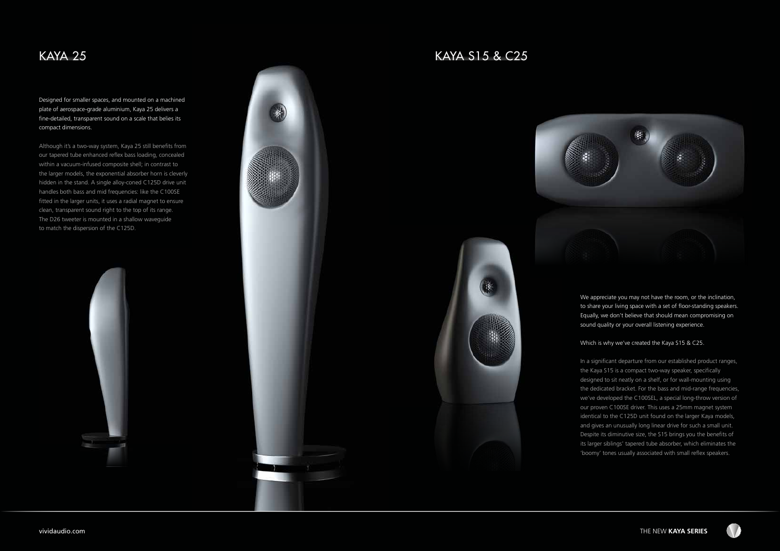## KAYA 25 KAYA S15 & C25

We appreciate you may not have the room, or the inclination, to share your living space with a set of floor-standing speakers. Equally, we don't believe that should mean compromising on sound quality or your overall listening experience.

Which is why we've created the Kaya S15 & C25.

In a significant departure from our established product ranges, the Kaya S15 is a compact two-way speaker, specifically designed to sit neatly on a shelf, or for wall-mounting using the dedicated bracket. For the bass and mid-range frequencies, we've developed the C100SEL, a special long-throw version of our proven C100SE driver. This uses a 25mm magnet system identical to the C125D unit found on the larger Kaya models, and gives an unusually long linear drive for such a small unit. Despite its diminutive size, the S15 brings you the benefits of its larger siblings' tapered tube absorber, which eliminates the 'boomy' tones usually associated with small reflex speakers.



vividaudio.com THE NEW **KAYA SERIES**

Designed for smaller spaces, and mounted on a machined plate of aerospace-grade aluminium, Kaya 25 delivers a fine-detailed, transparent sound on a scale that belies its compact dimensions.

Although it's a two-way system, Kaya 25 still benefits from our tapered tube enhanced reflex bass loading, concealed within a vacuum-infused composite shell; in contrast to the larger models, the exponential absorber horn is cleverly hidden in the stand. A single alloy-coned C125D drive unit handles both bass and mid frequencies: like the C100SE fitted in the larger units, it uses a radial magnet to ensure clean, transparent sound right to the top of its range. The D26 tweeter is mounted in a shallow waveguide to match the dispersion of the C125D.